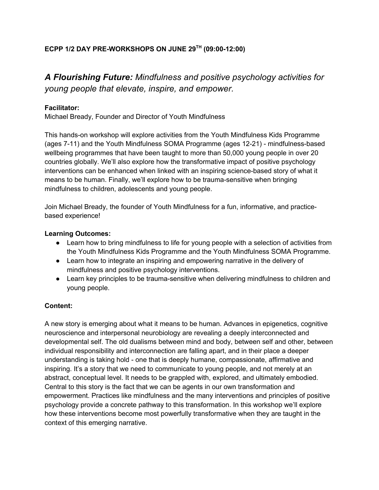# **ECPP 1/2 DAY PRE-WORKSHOPS ON JUNE 29TH (09:00-12:00)**

*A Flourishing Future: Mindfulness and positive psychology activities for young people that elevate, inspire, and empower.*

## **Facilitator:**

Michael Bready, Founder and Director of Youth Mindfulness

This hands-on workshop will explore activities from the Youth Mindfulness Kids Programme (ages 7-11) and the Youth Mindfulness SOMA Programme (ages 12-21) - mindfulness-based wellbeing programmes that have been taught to more than 50,000 young people in over 20 countries globally. We'll also explore how the transformative impact of positive psychology interventions can be enhanced when linked with an inspiring science-based story of what it means to be human. Finally, we'll explore how to be trauma-sensitive when bringing mindfulness to children, adolescents and young people.

Join Michael Bready, the founder of Youth Mindfulness for a fun, informative, and practicebased experience!

### **Learning Outcomes:**

- Learn how to bring mindfulness to life for young people with a selection of activities from the Youth Mindfulness Kids Programme and the Youth Mindfulness SOMA Programme.
- Learn how to integrate an inspiring and empowering narrative in the delivery of mindfulness and positive psychology interventions.
- Learn key principles to be trauma-sensitive when delivering mindfulness to children and young people.

## **Content:**

A new story is emerging about what it means to be human. Advances in epigenetics, cognitive neuroscience and interpersonal neurobiology are revealing a deeply interconnected and developmental self. The old dualisms between mind and body, between self and other, between individual responsibility and interconnection are falling apart, and in their place a deeper understanding is taking hold - one that is deeply humane, compassionate, affirmative and inspiring. It's a story that we need to communicate to young people, and not merely at an abstract, conceptual level. It needs to be grappled with, explored, and ultimately embodied. Central to this story is the fact that we can be agents in our own transformation and empowerment. Practices like mindfulness and the many interventions and principles of positive psychology provide a concrete pathway to this transformation. In this workshop we'll explore how these interventions become most powerfully transformative when they are taught in the context of this emerging narrative.